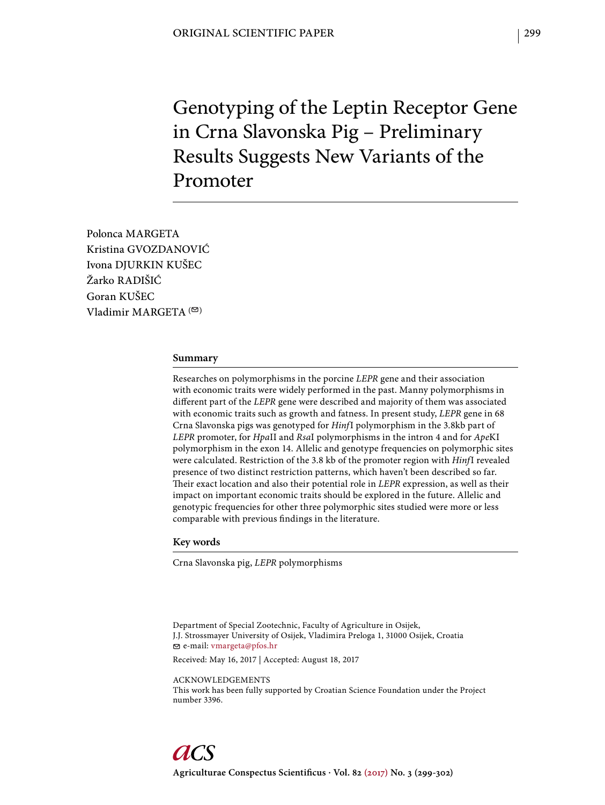Genotyping of the Leptin Receptor Gene in Crna Slavonska Pig – Preliminary Results Suggests New Variants of the Promoter

Polonca MARGETA Kristina GVOZDANOVIĆ Ivona DJURKIN KUŠEC Žarko RADIŠIĆ Goran KUŠEC Vladimir MARGETA $($ 

#### **Summary**

Researches on polymorphisms in the porcine *LEPR* gene and their association with economic traits were widely performed in the past. Manny polymorphisms in diff erent part of the *LEPR* gene were described and majority of them was associated with economic traits such as growth and fatness. In present study, *LEPR* gene in 68 Crna Slavonska pigs was genotyped for *Hinf*I polymorphism in the 3.8kb part of *LEPR* promoter, for *Hpa*II and *Rsa*I polymorphisms in the intron 4 and for *Ape*KI polymorphism in the exon 14. Allelic and genotype frequencies on polymorphic sites were calculated. Restriction of the 3.8 kb of the promoter region with *Hinf*I revealed presence of two distinct restriction patterns, which haven't been described so far. Their exact location and also their potential role in *LEPR* expression, as well as their impact on important economic traits should be explored in the future. Allelic and genotypic frequencies for other three polymorphic sites studied were more or less comparable with previous findings in the literature.

## **Key words**

Crna Slavonska pig, *LEPR* polymorphisms

Department of Special Zootechnic, Faculty of Agriculture in Osijek, J.J. Strossmayer University of Osijek, Vladimira Preloga 1, 31000 Osijek, Croatia e-mail: vmargeta@pfos.hr

Received: May 16, 2017 | Accepted: August 18, 2017

ACKNOWLEDGEMENTS

This work has been fully supported by Croatian Science Foundation under the Project number 3396.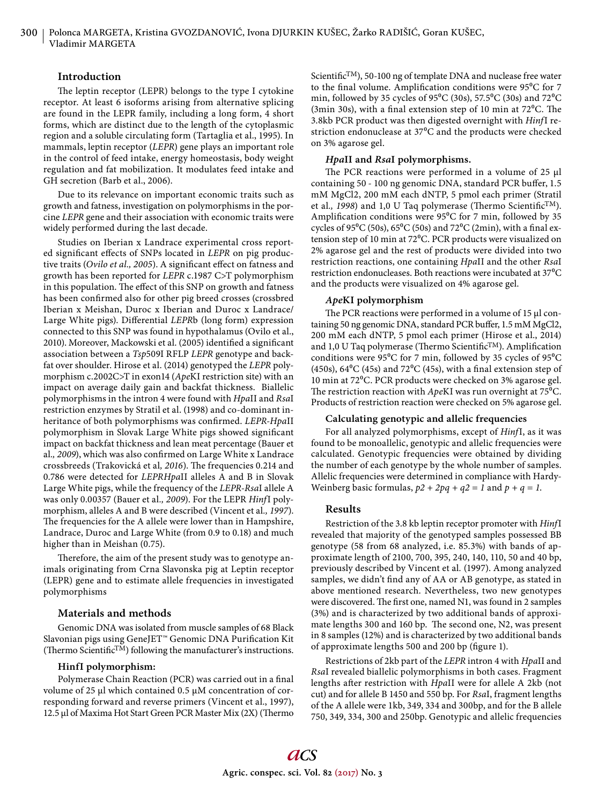## **Introduction**

The leptin receptor (LEPR) belongs to the type I cytokine receptor. At least 6 isoforms arising from alternative splicing are found in the LEPR family, including a long form, 4 short forms, which are distinct due to the length of the cytoplasmic region and a soluble circulating form (Tartaglia et al., 1995). In mammals, leptin receptor (*LEPR*) gene plays an important role in the control of feed intake, energy homeostasis, body weight regulation and fat mobilization. It modulates feed intake and GH secretion (Barb et al., 2006).

Due to its relevance on important economic traits such as growth and fatness, investigation on polymorphisms in the porcine *LEPR* gene and their association with economic traits were widely performed during the last decade.

Studies on Iberian x Landrace experimental cross reported significant effects of SNPs located in *LEPR* on pig productive traits (*Ovilo et al., 2005*). A significant effect on fatness and growth has been reported for *LEPR* c.1987 C>T polymorphism in this population. The effect of this SNP on growth and fatness has been confirmed also for other pig breed crosses (crossbred Iberian x Meishan, Duroc x Iberian and Duroc x Landrace/ Large White pigs). Differential *LEPRb* (long form) expression connected to this SNP was found in hypothalamus (Ovilo et al., 2010). Moreover, Mackowski et al. (2005) identified a significant association between a *Tsp*509I RFLP *LEPR* genotype and backfat over shoulder. Hirose et al. (2014) genotyped the *LEPR* polymorphism c.2002C>T in exon14 (*Ape*KI restriction site) with an impact on average daily gain and backfat thickness. Biallelic polymorphisms in the intron 4 were found with *Hpa*II and *Rsa*I restriction enzymes by Stratil et al. (1998) and co-dominant inheritance of both polymorphisms was confirmed. *LEPR-HpaII* polymorphism in Slovak Large White pigs showed significant impact on backfat thickness and lean meat percentage (Bauer et al., 2009), which was also confirmed on Large White x Landrace crossbreeds (Trakovická et al, 2016). The frequencies 0.214 and 0.786 were detected for *LEPRHpa*II alleles A and B in Slovak Large White pigs, while the frequency of the *LEPR-Rsa*I allele A was only 0.00357 (Bauer et al*., 2009*). For the LEPR *Hinf*I polymorphism, alleles A and B were described (Vincent et al*., 1997*). The frequencies for the A allele were lower than in Hampshire, Landrace, Duroc and Large White (from 0.9 to 0.18) and much higher than in Meishan (0.75).

Therefore, the aim of the present study was to genotype animals originating from Crna Slavonska pig at Leptin receptor (LEPR) gene and to estimate allele frequencies in investigated polymorphisms

## **Materials and methods**

Genomic DNA was isolated from muscle samples of 68 Black Slavonian pigs using GeneJET™ Genomic DNA Purification Kit (Thermo Scientific $\text{TM}$ ) following the manufacturer's instructions.

## **HinfI polymorphism:**

Polymerase Chain Reaction (PCR) was carried out in a final volume of 25 μl which contained 0.5 μM concentration of corresponding forward and reverse primers (Vincent et al., 1997), 12.5 μl of Maxima Hot Start Green PCR Master Mix (2X) (Thermo Scientific<sup>TM</sup>), 50-100 ng of template DNA and nuclease free water to the final volume. Amplification conditions were  $95^{\circ}$ C for 7 min, followed by 35 cycles of 95<sup>o</sup>C (30s), 57.5<sup>o</sup>C (30s) and 72<sup>o</sup>C (3min 30s), with a final extension step of 10 min at  $72^{\circ}$ C. The 3.8kb PCR product was then digested overnight with *Hinf*I restriction endonuclease at 37<sup>o</sup>C and the products were checked on 3% agarose gel.

#### *Hpa***II and** *Rsa***I polymorphisms.**

The PCR reactions were performed in a volume of 25 μl containing 50 - 100 ng genomic DNA, standard PCR buffer, 1.5 mM MgCl2, 200 mM each dNTP, 5 pmol each primer (Stratil et al., 1998) and 1,0 U Taq polymerase (Thermo Scientific<sup>TM</sup>). Amplification conditions were  $95^{\circ}$ C for 7 min, followed by 35 cycles of 95°C (50s), 65°C (50s) and 72°C (2min), with a final extension step of 10 min at 72°C. PCR products were visualized on 2% agarose gel and the rest of products were divided into two restriction reactions, one containing *Hpa*II and the other *Rsa*I restriction endonucleases. Both reactions were incubated at 37<sup>o</sup>C and the products were visualized on 4% agarose gel.

## *Ape***KI polymorphism**

The PCR reactions were performed in a volume of 15 μl containing 50 ng genomic DNA, standard PCR buffer, 1.5 mM MgCl2, 200 mM each dNTP, 5 pmol each primer (Hirose et al., 2014) and 1,0 U Taq polymerase (Thermo Scientific<sup>TM</sup>). Amplification conditions were  $95^{\circ}$ C for 7 min, followed by 35 cycles of  $95^{\circ}$ C (450s), 64 $^{\circ}$ C (45s) and 72 $^{\circ}$ C (45s), with a final extension step of 10 min at 72°C. PCR products were checked on 3% agarose gel. The restriction reaction with *ApeKI* was run overnight at 75<sup>o</sup>C. Products of restriction reaction were checked on 5% agarose gel.

#### **Calculating genotypic and allelic frequencies**

For all analyzed polymorphisms, except of *Hinf*I, as it was found to be monoallelic, genotypic and allelic frequencies were calculated. Genotypic frequencies were obtained by dividing the number of each genotype by the whole number of samples. Allelic frequencies were determined in compliance with Hardy-Weinberg basic formulas,  $p2 + 2pq + q2 = 1$  and  $p + q = 1$ .

#### **Results**

Restriction of the 3.8 kb leptin receptor promoter with *Hinf*I revealed that majority of the genotyped samples possessed BB genotype (58 from 68 analyzed, i.e. 85.3%) with bands of approximate length of 2100, 700, 395, 240, 140, 110, 50 and 40 bp, previously described by Vincent et al*.* (1997). Among analyzed samples, we didn't find any of AA or AB genotype, as stated in above mentioned research. Nevertheless, two new genotypes were discovered. The first one, named N1, was found in 2 samples (3%) and is characterized by two additional bands of approximate lengths 300 and 160 bp. The second one, N2, was present in 8 samples (12%) and is characterized by two additional bands of approximate lengths 500 and 200 bp (figure 1).

Restrictions of 2kb part of the *LEPR* intron 4 with *Hpa*II and *Rsa*I revealed biallelic polymorphisms in both cases. Fragment lengths after restriction with *HpaII* were for allele A 2kb (not cut) and for allele B 1450 and 550 bp. For *Rsa*I, fragment lengths of the A allele were 1kb, 349, 334 and 300bp, and for the B allele 750, 349, 334, 300 and 250bp. Genotypic and allelic frequencies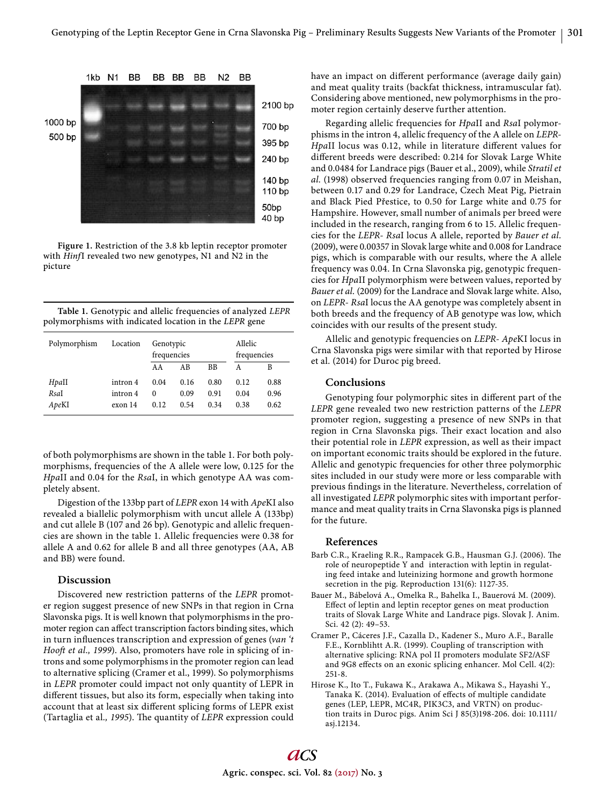

**Figure 1.** Restriction of the 3.8 kb leptin receptor promoter with *Hinf*I revealed two new genotypes, N1 and N2 in the picture

**Table 1.** Genotypic and allelic frequencies of analyzed *LEPR*  polymorphisms with indicated location in the *LEPR* gene

| Polymorphism | Location | Genotypic<br>frequencies |      | Allelic<br>frequencies |      |      |
|--------------|----------|--------------------------|------|------------------------|------|------|
|              |          | AA                       | ΑB   | <b>BB</b>              | А    | B    |
| Hpall        | intron 4 | 0.04                     | 0.16 | 0.80                   | 0.12 | 0.88 |
| RsaI         | intron 4 | 0                        | 0.09 | 0.91                   | 0.04 | 0.96 |
| ApeKI        | exon 14  | 0.12                     | 0.54 | 0.34                   | 0.38 | 0.62 |

of both polymorphisms are shown in the table 1. For both polymorphisms, frequencies of the A allele were low, 0.125 for the *Hpa*II and 0.04 for the *Rsa*I, in which genotype AA was completely absent.

Digestion of the 133bp part of *LEPR* exon 14 with *Ape*KI also revealed a biallelic polymorphism with uncut allele A (133bp) and cut allele B (107 and 26 bp). Genotypic and allelic frequencies are shown in the table 1. Allelic frequencies were 0.38 for allele A and 0.62 for allele B and all three genotypes (AA, AB and BB) were found.

#### **Discussion**

Discovered new restriction patterns of the *LEPR* promoter region suggest presence of new SNPs in that region in Crna Slavonska pigs. It is well known that polymorphisms in the promoter region can affect transcription factors binding sites, which in turn influences transcription and expression of genes (*van* 't *Hooft et al., 1999*). Also, promoters have role in splicing of introns and some polymorphisms in the promoter region can lead to alternative splicing (Cramer et al., 1999). So polymorphisms in *LEPR* promoter could impact not only quantity of LEPR in different tissues, but also its form, especially when taking into account that at least six different splicing forms of LEPR exist (Tartaglia et al., 1995). The quantity of *LEPR* expression could

have an impact on different performance (average daily gain) and meat quality traits (backfat thickness, intramuscular fat). Considering above mentioned, new polymorphisms in the promoter region certainly deserve further attention.

Regarding allelic frequencies for *Hpa*II and *Rsa*I polymorphisms in the intron 4, allelic frequency of the A allele on *LEPR*-*HpaII* locus was 0.12, while in literature different values for different breeds were described: 0.214 for Slovak Large White and 0.0484 for Landrace pigs (Bauer et al., 2009), while *Stratil et al.* (1998) observed frequencies ranging from 0.07 in Meishan, between 0.17 and 0.29 for Landrace, Czech Meat Pig, Pietrain and Black Pied Přestice, to 0.50 for Large white and 0.75 for Hampshire. However, small number of animals per breed were included in the research, ranging from 6 to 15. Allelic frequencies for the *LEPR*- *Rsa*I locus A allele, reported by *Bauer et al.*  (2009), were 0.00357 in Slovak large white and 0.008 for Landrace pigs, which is comparable with our results, where the A allele frequency was 0.04. In Crna Slavonska pig, genotypic frequencies for *Hpa*II polymorphism were between values, reported by *Bauer et al.* (2009) for the Landrace and Slovak large white. Also, on *LEPR*- *Rsa*I locus the AA genotype was completely absent in both breeds and the frequency of AB genotype was low, which coincides with our results of the present study.

Allelic and genotypic frequencies on *LEPR*- *Ape*KI locus in Crna Slavonska pigs were similar with that reported by Hirose et al*.* (2014) for Duroc pig breed.

#### **Conclusions**

Genotyping four polymorphic sites in different part of the *LEPR* gene revealed two new restriction patterns of the *LEPR* promoter region, suggesting a presence of new SNPs in that region in Crna Slavonska pigs. Their exact location and also their potential role in *LEPR* expression, as well as their impact on important economic traits should be explored in the future. Allelic and genotypic frequencies for other three polymorphic sites included in our study were more or less comparable with previous findings in the literature. Nevertheless, correlation of all investigated *LEPR* polymorphic sites with important performance and meat quality traits in Crna Slavonska pigs is planned for the future.

## **References**

- Barb C.R., Kraeling R.R., Rampacek G.B., Hausman G.J. (2006). The role of neuropeptide Y and interaction with leptin in regulating feed intake and luteinizing hormone and growth hormone secretion in the pig. Reproduction 131(6): 1127-35.
- Bauer M., Bábelová A., Omelka R., Bahelka I., Bauerová M. (2009). Effect of leptin and leptin receptor genes on meat production traits of Slovak Large White and Landrace pigs. Slovak J. Anim. Sci. 42 (2): 49–53.
- Cramer P., Cáceres J.F., Cazalla D., Kadener S., Muro A.F., Baralle F.E., Kornblihtt A.R. (1999). Coupling of transcription with alternative splicing: RNA pol II promoters modulate SF2/ASF and 9G8 effects on an exonic splicing enhancer. Mol Cell. 4(2): 251-8.
- Hirose K., Ito T., Fukawa K., Arakawa A., Mikawa S., Hayashi Y., Tanaka K. (2014). Evaluation of effects of multiple candidate genes (LEP, LEPR, MC4R, PIK3C3, and VRTN) on production traits in Duroc pigs. Anim Sci J 85(3)198-206. doi: 10.1111/ asj.12134.